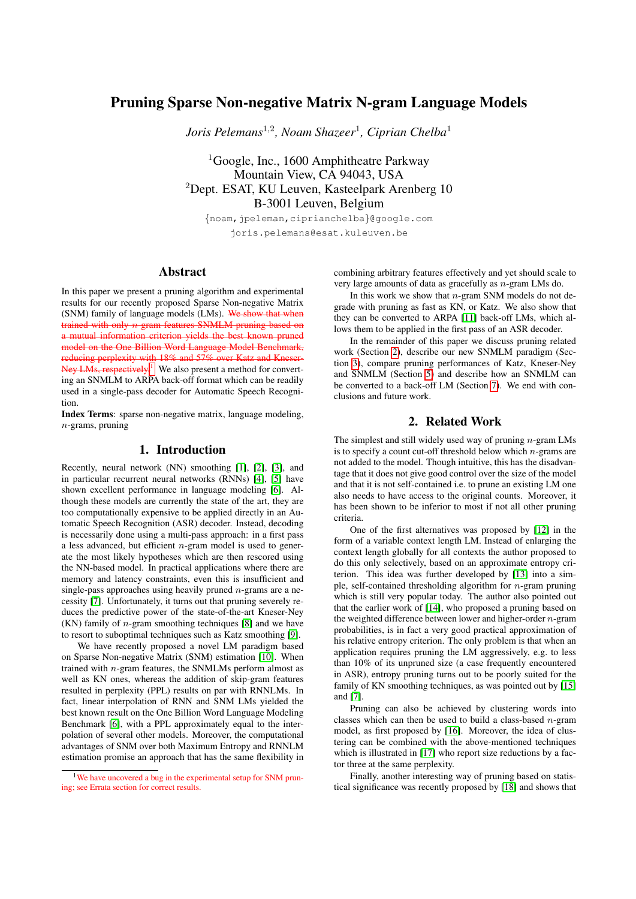# Pruning Sparse Non-negative Matrix N-gram Language Models

*Joris Pelemans*<sup>1</sup>,<sup>2</sup> *, Noam Shazeer*<sup>1</sup> *, Ciprian Chelba*<sup>1</sup>

<sup>1</sup>Google, Inc., 1600 Amphitheatre Parkway Mountain View, CA 94043, USA <sup>2</sup>Dept. ESAT, KU Leuven, Kasteelpark Arenberg 10 B-3001 Leuven, Belgium

{noam,jpeleman,ciprianchelba}@google.com joris.pelemans@esat.kuleuven.be

## Abstract

In this paper we present a pruning algorithm and experimental results for our recently proposed Sparse Non-negative Matrix (SNM) family of language models (LMs). We show that when trained with only n-gram features SNMLM pruning based on a mutual information criterion yields the best known pruned model on the One Billion Word Language Model Benchmark, reducing perplexity with 18% and 57% over Katz and Kneser-Ney LMs, respectively.<sup>[1](#page-0-0)</sup> We also present a method for converting an SNMLM to ARPA back-off format which can be readily used in a single-pass decoder for Automatic Speech Recognition.

Index Terms: sparse non-negative matrix, language modeling,  $n$ -grams, pruning

## 1. Introduction

Recently, neural network (NN) smoothing [\[1\]](#page-4-0), [\[2\]](#page-4-1), [\[3\]](#page-4-2), and in particular recurrent neural networks (RNNs) [\[4\]](#page-4-3), [\[5\]](#page-4-4) have shown excellent performance in language modeling [\[6\]](#page-4-5). Although these models are currently the state of the art, they are too computationally expensive to be applied directly in an Automatic Speech Recognition (ASR) decoder. Instead, decoding is necessarily done using a multi-pass approach: in a first pass a less advanced, but efficient  $n$ -gram model is used to generate the most likely hypotheses which are then rescored using the NN-based model. In practical applications where there are memory and latency constraints, even this is insufficient and single-pass approaches using heavily pruned  $n$ -grams are a necessity [\[7\]](#page-4-6). Unfortunately, it turns out that pruning severely reduces the predictive power of the state-of-the-art Kneser-Ney  $(KN)$  family of *n*-gram smoothing techniques [\[8\]](#page-4-7) and we have to resort to suboptimal techniques such as Katz smoothing [\[9\]](#page-4-8).

We have recently proposed a novel LM paradigm based on Sparse Non-negative Matrix (SNM) estimation [\[10\]](#page-4-9). When trained with n-gram features, the SNMLMs perform almost as well as KN ones, whereas the addition of skip-gram features resulted in perplexity (PPL) results on par with RNNLMs. In fact, linear interpolation of RNN and SNM LMs yielded the best known result on the One Billion Word Language Modeling Benchmark [\[6\]](#page-4-5), with a PPL approximately equal to the interpolation of several other models. Moreover, the computational advantages of SNM over both Maximum Entropy and RNNLM estimation promise an approach that has the same flexibility in combining arbitrary features effectively and yet should scale to very large amounts of data as gracefully as n-gram LMs do.

In this work we show that  $n$ -gram SNM models do not degrade with pruning as fast as KN, or Katz. We also show that they can be converted to ARPA [\[11\]](#page-4-10) back-off LMs, which allows them to be applied in the first pass of an ASR decoder.

In the remainder of this paper we discuss pruning related work (Section [2\)](#page-0-1), describe our new SNMLM paradigm (Section [3\)](#page-1-0), compare pruning performances of Katz, Kneser-Ney and SNMLM (Section [5\)](#page-2-0) and describe how an SNMLM can be converted to a back-off LM (Section [7\)](#page-3-0). We end with conclusions and future work.

## 2. Related Work

<span id="page-0-1"></span>The simplest and still widely used way of pruning  $n$ -gram LMs is to specify a count cut-off threshold below which  $n$ -grams are not added to the model. Though intuitive, this has the disadvantage that it does not give good control over the size of the model and that it is not self-contained i.e. to prune an existing LM one also needs to have access to the original counts. Moreover, it has been shown to be inferior to most if not all other pruning criteria.

One of the first alternatives was proposed by [\[12\]](#page-4-11) in the form of a variable context length LM. Instead of enlarging the context length globally for all contexts the author proposed to do this only selectively, based on an approximate entropy criterion. This idea was further developed by [\[13\]](#page-4-12) into a simple, self-contained thresholding algorithm for  $n$ -gram pruning which is still very popular today. The author also pointed out that the earlier work of [\[14\]](#page-4-13), who proposed a pruning based on the weighted difference between lower and higher-order  $n$ -gram probabilities, is in fact a very good practical approximation of his relative entropy criterion. The only problem is that when an application requires pruning the LM aggressively, e.g. to less than 10% of its unpruned size (a case frequently encountered in ASR), entropy pruning turns out to be poorly suited for the family of KN smoothing techniques, as was pointed out by [\[15\]](#page-4-14) and [\[7\]](#page-4-6).

Pruning can also be achieved by clustering words into classes which can then be used to build a class-based  $n$ -gram model, as first proposed by [\[16\]](#page-4-15). Moreover, the idea of clustering can be combined with the above-mentioned techniques which is illustrated in [\[17\]](#page-4-16) who report size reductions by a factor three at the same perplexity.

Finally, another interesting way of pruning based on statistical significance was recently proposed by [\[18\]](#page-4-17) and shows that

<span id="page-0-0"></span><sup>&</sup>lt;sup>1</sup>We have uncovered a bug in the experimental setup for SNM pruning; see Errata section for correct results.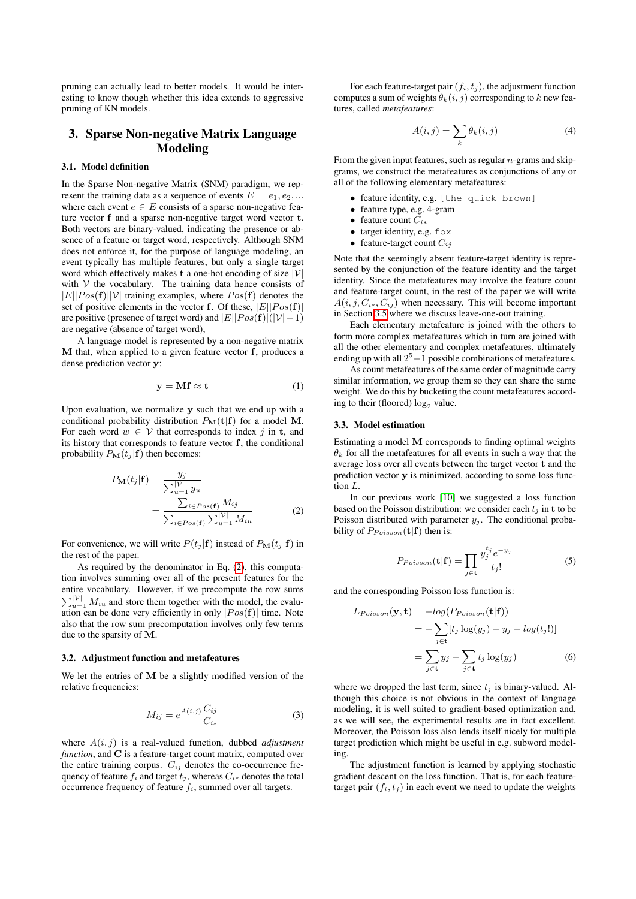pruning can actually lead to better models. It would be interesting to know though whether this idea extends to aggressive pruning of KN models.

## <span id="page-1-0"></span>3. Sparse Non-negative Matrix Language Modeling

### 3.1. Model definition

In the Sparse Non-negative Matrix (SNM) paradigm, we represent the training data as a sequence of events  $E = e_1, e_2, ...$ where each event  $e \in E$  consists of a sparse non-negative feature vector f and a sparse non-negative target word vector t. Both vectors are binary-valued, indicating the presence or absence of a feature or target word, respectively. Although SNM does not enforce it, for the purpose of language modeling, an event typically has multiple features, but only a single target word which effectively makes  $t$  a one-hot encoding of size  $|\mathcal{V}|$ with  $V$  the vocabulary. The training data hence consists of  $|E||Pos(\mathbf{f})||\mathcal{V}|$  training examples, where  $Pos(\mathbf{f})$  denotes the set of positive elements in the vector f. Of these,  $|E||Pos(f)|$ are positive (presence of target word) and  $|E||Pos(\mathbf{f})|(|\mathcal{V}|-1)$ are negative (absence of target word),

A language model is represented by a non-negative matrix M that, when applied to a given feature vector f, produces a dense prediction vector y:

$$
y = Mf \approx t \tag{1}
$$

Upon evaluation, we normalize y such that we end up with a conditional probability distribution  $P_M(t|f)$  for a model M. For each word  $w \in V$  that corresponds to index j in t, and its history that corresponds to feature vector f, the conditional probability  $P_{\mathbf{M}}(t_i | \mathbf{f})$  then becomes:

$$
P_{\mathbf{M}}(t_j|\mathbf{f}) = \frac{y_j}{\sum_{u=1}^{|\mathcal{V}|} y_u}
$$
  
= 
$$
\frac{\sum_{i \in Pos(\mathbf{f})} M_{ij}}{\sum_{i \in Pos(\mathbf{f})} \sum_{u=1}^{|\mathcal{V}|} M_{iu}}
$$
 (2)

For convenience, we will write  $P(t_j | \mathbf{f})$  instead of  $P_M(t_j | \mathbf{f})$  in the rest of the paper.

As required by the denominator in Eq. [\(2\)](#page-1-1), this computation involves summing over all of the present features for the entire vocabulary. However, if we precompute the row sums  $\sum_{u=1}^{\vert \mathcal{V} \vert} M_{iu}$  and store them together with the model, the evaluation can be done very efficiently in only  $|Pos(f)|$  time. Note also that the row sum precomputation involves only few terms due to the sparsity of M.

#### 3.2. Adjustment function and metafeatures

We let the entries of  $M$  be a slightly modified version of the relative frequencies:

$$
M_{ij} = e^{A(i,j)} \frac{C_{ij}}{C_{i*}} \tag{3}
$$

where A(i, j) is a real-valued function, dubbed *adjustment function*, and C is a feature-target count matrix, computed over the entire training corpus.  $C_{ij}$  denotes the co-occurrence frequency of feature  $f_i$  and target  $t_j$ , whereas  $C_{i*}$  denotes the total occurrence frequency of feature  $f_i$ , summed over all targets.

For each feature-target pair  $(f_i, t_j)$ , the adjustment function computes a sum of weights  $\theta_k(i, j)$  corresponding to k new features, called *metafeatures*:

$$
A(i,j) = \sum_{k} \theta_k(i,j) \tag{4}
$$

From the given input features, such as regular  $n$ -grams and skipgrams, we construct the metafeatures as conjunctions of any or all of the following elementary metafeatures:

- feature identity, e.g. [the quick brown]
- feature type, e.g. 4-gram
- feature count  $C_{i*}$
- target identity, e.g. fox
- feature-target count  $C_{ij}$

Note that the seemingly absent feature-target identity is represented by the conjunction of the feature identity and the target identity. Since the metafeatures may involve the feature count and feature-target count, in the rest of the paper we will write  $A(i, j, C_{i*}, C_{ij})$  when necessary. This will become important in Section [3.5](#page-2-1) where we discuss leave-one-out training.

Each elementary metafeature is joined with the others to form more complex metafeatures which in turn are joined with all the other elementary and complex metafeatures, ultimately ending up with all  $2^5 - 1$  possible combinations of metafeatures.

As count metafeatures of the same order of magnitude carry similar information, we group them so they can share the same weight. We do this by bucketing the count metafeatures according to their (floored)  $log_2$  value.

### 3.3. Model estimation

Estimating a model M corresponds to finding optimal weights  $\theta_k$  for all the metafeatures for all events in such a way that the average loss over all events between the target vector t and the prediction vector y is minimized, according to some loss function L.

<span id="page-1-1"></span>In our previous work [\[10\]](#page-4-9) we suggested a loss function based on the Poisson distribution: we consider each  $t_i$  in t to be Poisson distributed with parameter  $y_j$ . The conditional probability of  $P_{Poisson}(\mathbf{t}|\mathbf{f})$  then is:

$$
P_{Poisson}(\mathbf{t}|\mathbf{f}) = \prod_{j \in \mathbf{t}} \frac{y_j^{t_j} e^{-y_j}}{t_j!}
$$
 (5)

and the corresponding Poisson loss function is:

$$
L_{Poisson}(\mathbf{y}, \mathbf{t}) = -log(P_{Poisson}(\mathbf{t}|\mathbf{f}))
$$
  
= 
$$
-\sum_{j \in \mathbf{t}} [t_j \log(y_j) - y_j - log(t_j!)]
$$
  
= 
$$
\sum_{j \in \mathbf{t}} y_j - \sum_{j \in \mathbf{t}} t_j \log(y_j)
$$
 (6)

where we dropped the last term, since  $t_i$  is binary-valued. Although this choice is not obvious in the context of language modeling, it is well suited to gradient-based optimization and, as we will see, the experimental results are in fact excellent. Moreover, the Poisson loss also lends itself nicely for multiple target prediction which might be useful in e.g. subword modeling.

The adjustment function is learned by applying stochastic gradient descent on the loss function. That is, for each featuretarget pair  $(f_i, t_j)$  in each event we need to update the weights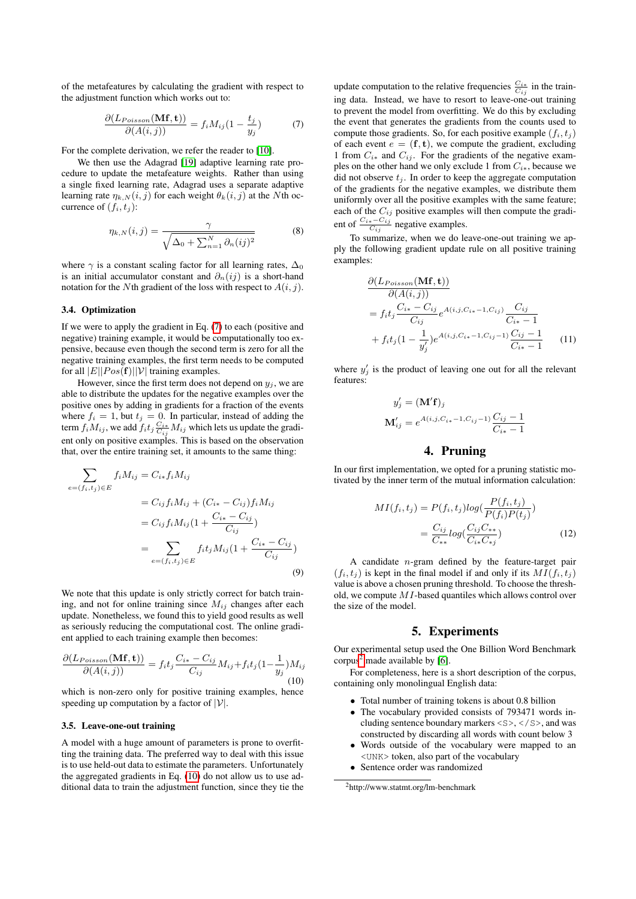of the metafeatures by calculating the gradient with respect to the adjustment function which works out to:

<span id="page-2-2"></span>
$$
\frac{\partial (L_{Poisson}(\mathbf{Mf}, \mathbf{t}))}{\partial (A(i, j))} = f_i M_{ij} (1 - \frac{t_j}{y_j}) \tag{7}
$$

For the complete derivation, we refer the reader to [\[10\]](#page-4-9).

We then use the Adagrad [\[19\]](#page-4-18) adaptive learning rate procedure to update the metafeature weights. Rather than using a single fixed learning rate, Adagrad uses a separate adaptive learning rate  $\eta_{k,N}(i, j)$  for each weight  $\theta_k(i, j)$  at the Nth occurrence of  $(f_i, t_j)$ :

$$
\eta_{k,N}(i,j) = \frac{\gamma}{\sqrt{\Delta_0 + \sum_{n=1}^N \partial_n (ij)^2}} \tag{8}
$$

where  $\gamma$  is a constant scaling factor for all learning rates,  $\Delta_0$ is an initial accumulator constant and  $\partial_n(ij)$  is a short-hand notation for the Nth gradient of the loss with respect to  $A(i, j)$ .

#### 3.4. Optimization

If we were to apply the gradient in Eq. [\(7\)](#page-2-2) to each (positive and negative) training example, it would be computationally too expensive, because even though the second term is zero for all the negative training examples, the first term needs to be computed for all  $|E||Pos(f)||V|$  training examples.

However, since the first term does not depend on  $y_i$ , we are able to distribute the updates for the negative examples over the positive ones by adding in gradients for a fraction of the events where  $f_i = 1$ , but  $t_j = 0$ . In particular, instead of adding the term  $f_i M_{ij}$ , we add  $f_i t_j \frac{C_{i*}}{C_{ij}} M_{ij}$  which lets us update the gradient only on positive examples. This is based on the observation that, over the entire training set, it amounts to the same thing:

$$
\sum_{e=(f_i, t_j)\in E} f_i M_{ij} = C_{i*} f_i M_{ij}
$$
\n
$$
= C_{ij} f_i M_{ij} + (C_{i*} - C_{ij}) f_i M_{ij}
$$
\n
$$
= C_{ij} f_i M_{ij} (1 + \frac{C_{i*} - C_{ij}}{C_{ij}})
$$
\n
$$
= \sum_{e=(f_i, t_j)\in E} f_i t_j M_{ij} (1 + \frac{C_{i*} - C_{ij}}{C_{ij}})
$$
\n(9)

We note that this update is only strictly correct for batch training, and not for online training since  $M_{ij}$  changes after each update. Nonetheless, we found this to yield good results as well as seriously reducing the computational cost. The online gradient applied to each training example then becomes:

<span id="page-2-3"></span>
$$
\frac{\partial (L_{Poisson}(\mathbf{Mf}, \mathbf{t}))}{\partial (A(i, j))} = f_i t_j \frac{C_{i*} - C_{ij}}{C_{ij}} M_{ij} + f_i t_j (1 - \frac{1}{y_j}) M_{ij}
$$
\n(10)

which is non-zero only for positive training examples, hence speeding up computation by a factor of  $|V|$ .

#### <span id="page-2-1"></span>3.5. Leave-one-out training

A model with a huge amount of parameters is prone to overfitting the training data. The preferred way to deal with this issue is to use held-out data to estimate the parameters. Unfortunately the aggregated gradients in Eq. [\(10\)](#page-2-3) do not allow us to use additional data to train the adjustment function, since they tie the

update computation to the relative frequencies  $\frac{C_{i*}}{C_{ij}}$  in the training data. Instead, we have to resort to leave-one-out training to prevent the model from overfitting. We do this by excluding the event that generates the gradients from the counts used to compute those gradients. So, for each positive example  $(f_i, t_j)$ of each event  $e = (\mathbf{f}, \mathbf{t})$ , we compute the gradient, excluding 1 from  $C_{i*}$  and  $C_{ij}$ . For the gradients of the negative examples on the other hand we only exclude 1 from  $C_{i*}$ , because we did not observe  $t_j$ . In order to keep the aggregate computation of the gradients for the negative examples, we distribute them uniformly over all the positive examples with the same feature; each of the  $C_{ij}$  positive examples will then compute the gradient of  $\frac{C_{i*} - C_{ij}}{C_{ij}}$  negative examples.

To summarize, when we do leave-one-out training we apply the following gradient update rule on all positive training examples:

$$
\frac{\partial (L_{Poisson}(\mathbf{Mf}, \mathbf{t}))}{\partial (A(i,j))}
$$
\n
$$
= f_i t_j \frac{C_{i*} - C_{ij}}{C_{ij}} e^{A(i,j,C_{i*}-1,C_{ij})} \frac{C_{ij}}{C_{i*}-1}
$$
\n
$$
+ f_i t_j (1 - \frac{1}{y'_j}) e^{A(i,j,C_{i*}-1,C_{ij}-1)} \frac{C_{ij}-1}{C_{i*}-1}
$$
\n(11)

where  $y'_j$  is the product of leaving one out for all the relevant features:

$$
y'_{j} = (\mathbf{M}'\mathbf{f})_{j}
$$
  

$$
\mathbf{M}'_{ij} = e^{A(i,j,C_{i*}-1,C_{ij}-1)} \frac{C_{ij}-1}{C_{i*}-1}
$$

### <span id="page-2-5"></span>4. Pruning

In our first implementation, we opted for a pruning statistic motivated by the inner term of the mutual information calculation:

$$
MI(f_i, t_j) = P(f_i, t_j)log(\frac{P(f_i, t_j)}{P(f_i)P(t_j)})
$$

$$
= \frac{C_{ij}}{C_{**}}log(\frac{C_{ij}C_{**}}{C_{**}C_{*j}})
$$
(12)

A candidate  $n$ -gram defined by the feature-target pair  $(f_i, t_j)$  is kept in the final model if and only if its  $MI(f_i, t_j)$ value is above a chosen pruning threshold. To choose the threshold, we compute MI-based quantiles which allows control over the size of the model.

### 5. Experiments

<span id="page-2-0"></span>Our experimental setup used the One Billion Word Benchmark corpus<sup>[2](#page-2-4)</sup> made available by [\[6\]](#page-4-5).

For completeness, here is a short description of the corpus, containing only monolingual English data:

- Total number of training tokens is about 0.8 billion
- The vocabulary provided consists of 793471 words including sentence boundary markers  $\langle S \rangle$ ,  $\langle S \rangle$ , and was constructed by discarding all words with count below 3
- Words outside of the vocabulary were mapped to an <UNK> token, also part of the vocabulary
- Sentence order was randomized

<span id="page-2-4"></span><sup>2</sup>http://www.statmt.org/lm-benchmark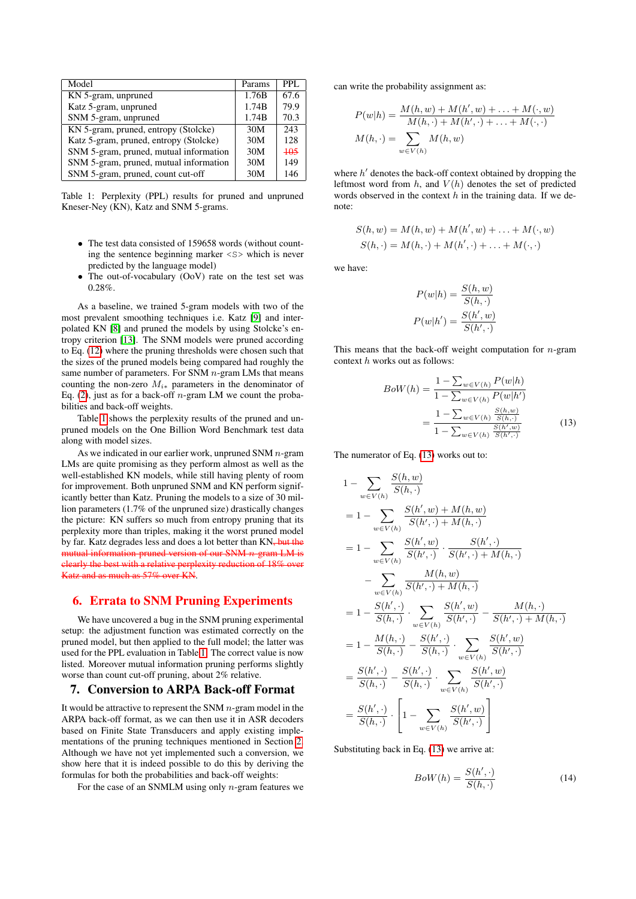| Model                                  | Params | PPL.   |
|----------------------------------------|--------|--------|
| KN 5-gram, unpruned                    | 1.76B  | 67.6   |
| Katz 5-gram, unpruned                  | 1.74B  | 79.9   |
| SNM 5-gram, unpruned                   | 1.74B  | 70.3   |
| KN 5-gram, pruned, entropy (Stolcke)   | 30M    | 243    |
| Katz 5-gram, pruned, entropy (Stolcke) | 30M    | 128    |
| SNM 5-gram, pruned, mutual information | 30M    | $+0.5$ |
| SNM 5-gram, pruned, mutual information | 30M    | 149    |
| SNM 5-gram, pruned, count cut-off      | 30M    | 146    |
|                                        |        |        |

<span id="page-3-1"></span>Table 1: Perplexity (PPL) results for pruned and unpruned Kneser-Ney (KN), Katz and SNM 5-grams.

- The test data consisted of 159658 words (without counting the sentence beginning marker <S> which is never predicted by the language model)
- The out-of-vocabulary (OoV) rate on the test set was 0.28%.

As a baseline, we trained 5-gram models with two of the most prevalent smoothing techniques i.e. Katz [\[9\]](#page-4-8) and interpolated KN [\[8\]](#page-4-7) and pruned the models by using Stolcke's entropy criterion [\[13\]](#page-4-12). The SNM models were pruned according to Eq. [\(12\)](#page-2-5) where the pruning thresholds were chosen such that the sizes of the pruned models being compared had roughly the same number of parameters. For SNM  $n$ -gram LMs that means counting the non-zero  $M_{i*}$  parameters in the denominator of Eq. [\(2\)](#page-1-1), just as for a back-off *n*-gram LM we count the probabilities and back-off weights.

Table [1](#page-3-1) shows the perplexity results of the pruned and unpruned models on the One Billion Word Benchmark test data along with model sizes.

As we indicated in our earlier work, unpruned SNM  $n$ -gram LMs are quite promising as they perform almost as well as the well-established KN models, while still having plenty of room for improvement. Both unpruned SNM and KN perform significantly better than Katz. Pruning the models to a size of 30 million parameters (1.7% of the unpruned size) drastically changes the picture: KN suffers so much from entropy pruning that its perplexity more than triples, making it the worst pruned model by far. Katz degrades less and does a lot better than KN<sub>7</sub> but the mutual information-pruned version of our SNM  $n$ -gram LM is clearly the best with a relative perplexity reduction of 18% over Katz and as much as 57% over KN.

### 6. Errata to SNM Pruning Experiments

We have uncovered a bug in the SNM pruning experimental setup: the adjustment function was estimated correctly on the pruned model, but then applied to the full model; the latter was used for the PPL evaluation in Table [1.](#page-3-1) The correct value is now listed. Moreover mutual information pruning performs slightly worse than count cut-off pruning, about 2% relative.

### <span id="page-3-0"></span>7. Conversion to ARPA Back-off Format

It would be attractive to represent the SNM  $n$ -gram model in the ARPA back-off format, as we can then use it in ASR decoders based on Finite State Transducers and apply existing implementations of the pruning techniques mentioned in Section [2.](#page-0-1) Although we have not yet implemented such a conversion, we show here that it is indeed possible to do this by deriving the formulas for both the probabilities and back-off weights:

For the case of an SNMLM using only  $n$ -gram features we

can write the probability assignment as:

$$
P(w|h) = \frac{M(h, w) + M(h', w) + \dots + M(\cdot, w)}{M(h, \cdot) + M(h', \cdot) + \dots + M(\cdot, \cdot)}
$$

$$
M(h, \cdot) = \sum_{w \in V(h)} M(h, w)
$$

where  $h'$  denotes the back-off context obtained by dropping the leftmost word from  $h$ , and  $V(h)$  denotes the set of predicted words observed in the context  $h$  in the training data. If we denote:

$$
S(h, w) = M(h, w) + M(h', w) + \dots + M(\cdot, w)
$$
  

$$
S(h, \cdot) = M(h, \cdot) + M(h', \cdot) + \dots + M(\cdot, \cdot)
$$

we have:

$$
P(w|h) = \frac{S(h, w)}{S(h, \cdot)}
$$

$$
P(w|h') = \frac{S(h', w)}{S(h', \cdot)}
$$

This means that the back-off weight computation for  $n$ -gram context h works out as follows:

<span id="page-3-2"></span>
$$
BoW(h) = \frac{1 - \sum_{w \in V(h)} P(w|h)}{1 - \sum_{w \in V(h)} P(w|h')}
$$

$$
= \frac{1 - \sum_{w \in V(h)} \frac{S(h, w)}{S(h, \cdot)}}{1 - \sum_{w \in V(h)} \frac{S(h', w)}{S(h', \cdot)}}\tag{13}
$$

The numerator of Eq. [\(13\)](#page-3-2) works out to:

$$
1 - \sum_{w \in V(h)} \frac{S(h, w)}{S(h, \cdot)} \n= 1 - \sum_{w \in V(h)} \frac{S(h', w) + M(h, w)}{S(h', \cdot) + M(h, \cdot)} \n= 1 - \sum_{w \in V(h)} \frac{S(h', w)}{S(h', \cdot)} \cdot \frac{S(h', \cdot)}{S(h', \cdot) + M(h, \cdot)} \n- \sum_{w \in V(h)} \frac{M(h, w)}{S(h', \cdot) + M(h, \cdot)} \n= 1 - \frac{S(h', \cdot)}{S(h, \cdot)} \cdot \sum_{w \in V(h)} \frac{S(h', w)}{S(h', \cdot)} - \frac{M(h, \cdot)}{S(h', \cdot) + M(h, \cdot)} \n= 1 - \frac{M(h, \cdot)}{S(h, \cdot)} - \frac{S(h', \cdot)}{S(h, \cdot)} \cdot \sum_{w \in V(h)} \frac{S(h', w)}{S(h', \cdot)} \n= \frac{S(h', \cdot)}{S(h, \cdot)} - \frac{S(h', \cdot)}{S(h, \cdot)} \cdot \sum_{w \in V(h)} \frac{S(h', w)}{S(h', \cdot)} \n= \frac{S(h', \cdot)}{S(h, \cdot)} \cdot \left[ 1 - \sum_{w \in V(h)} \frac{S(h', w)}{S(h', \cdot)} \right]
$$

Substituting back in Eq. [\(13\)](#page-3-2) we arrive at:

$$
BoW(h) = \frac{S(h', \cdot)}{S(h, \cdot)}\tag{14}
$$